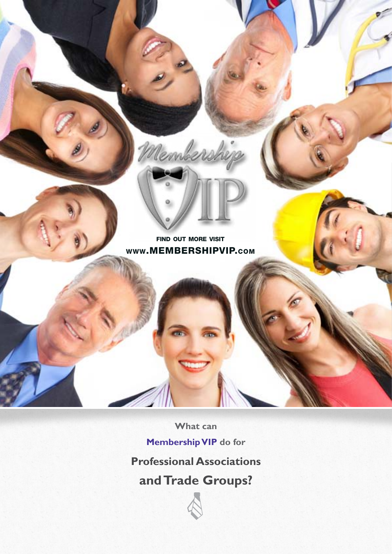

**What can Membership VIP do for**

### **Professional Associations**

**and Trade Groups?**